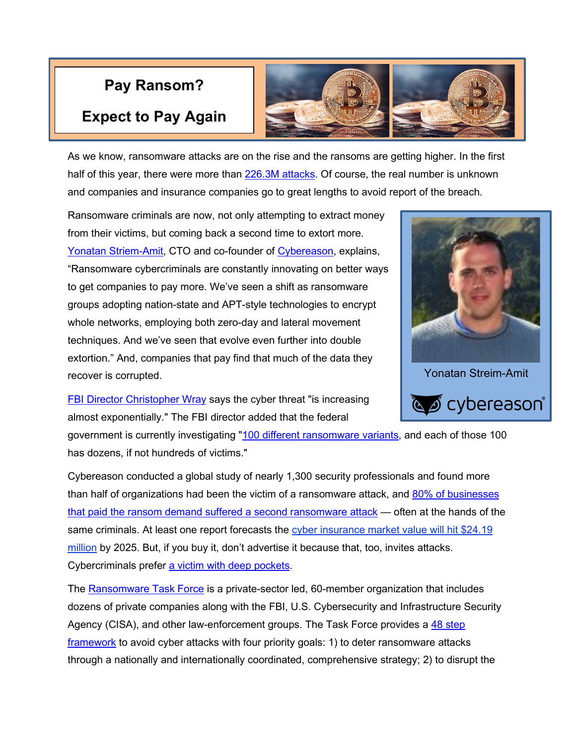## **Pay Ransom?**

## **Expect to Pay Again**



As we know, ransomware attacks are on the rise and the ransoms are getting higher. In the first half of this year, there were more than [226.3M attacks.](https://www.sdxcentral.com/articles/news/as-ransomware-business-booms-can-defenders-keep-up/2021/06/?utm_campaign=website&utm_source=sendgrid&utm_medium=email) Of course, the real number is unknown and companies and insurance companies go to great lengths to avoid report of the breach.

Ransomware criminals are now, not only attempting to extract money from their victims, but coming back a second time to extort more. [Yonatan Striem-Amit,](https://www.linkedin.com/in/yonatanstriemamit/) CTO and co-founder of [Cybereason,](https://www.cybereason.com/) explains, ["Ransomware](https://www.sdxcentral.com/security/definitions/what-is-ransomware/) cybercriminals are constantly innovating on better ways to get companies to pay more. We've seen a shift as ransomware groups [adopting nation-state and APT-style technologies](https://www.sdxcentral.com/articles/news/crowdstrike-co-founder-ransomware-even-bigger-threat-than-nation-states/2021/05/) to encrypt whole networks, employing both zero-day and lateral movement techniques. And we've seen that evolve even further into [double](https://www.sdxcentral.com/articles/news/intel-cybereason-beat-ransomware-with-hardware-shield/2021/01/)  [extortion.](https://www.sdxcentral.com/articles/news/intel-cybereason-beat-ransomware-with-hardware-shield/2021/01/)" And, companies that pay find that much of the data they recover is corrupted.



[FBI Director Christopher Wray](https://www.fbi.gov/about/leadership-and-structure/fbi-executives) says the cyber threat "is increasing almost exponentially." The FBI director added that the federal

government is currently investigating ["100 different ransomware variants,](https://www.wsj.com/articles/fbi-director-compares-ransomware-challenge-to-9-11-11622799003) and each of those 100 has dozens, if not hundreds of victims."

Cybereason conducted a global study of nearly 1,300 security professionals and found more than half of organizations had been the victim of a ransomware attack, and [80% of businesses](https://www.cbsnews.com/news/ransomware-victims-suffer-repeat-attacks-new-report/)  [that paid the ransom demand suffered a second ransomware attack](https://www.cbsnews.com/news/ransomware-victims-suffer-repeat-attacks-new-report/) — often at the hands of the same criminals. At least one report forecasts the cyber insurance market value will hit \$24.19 [million](https://www.globenewswire.com/news-release/2021/06/14/2246715/0/en/Cyber-Insurance-Market-Valuation-to-Reach-USD-24-185-3-Million-by-2025-with-28-61-CAGR-IT-and-Telecom-Sector-is-Expected-to-Register-33-24-CAGR-by-2025.html) by 2025. But, if you buy it, don't advertise it because that, too, invites attacks. Cybercriminals prefer [a victim with deep pockets.](https://www.propublica.org/article/the-extortion-economy-how-insurance-companies-are-fueling-a-rise-in-ransomware-attacks)

The [Ransomware Task Force](https://securityandtechnology.org/ransomwaretaskforce/report/) is a private-sector led, 60-member organization that includes dozens of private companies along with the FBI, U.S. Cybersecurity and Infrastructure Security Agency (CISA), and other law-enforcement groups. The Task Force provides a [48 step](https://www.businesswire.com/news/home/20210429005345/en/Ransomware-Task-Force-of-60-Members-From-Industry-Government-Law-Enforcement-Civil-Society-and-International-Organizations-Publishes-Comprehensive-Framework-to-Combat-Ransomware)  [framework](https://www.businesswire.com/news/home/20210429005345/en/Ransomware-Task-Force-of-60-Members-From-Industry-Government-Law-Enforcement-Civil-Society-and-International-Organizations-Publishes-Comprehensive-Framework-to-Combat-Ransomware) to avoid cyber attacks with four priority goals: 1) to deter ransomware attacks through a nationally and internationally coordinated, comprehensive strategy; 2) to disrupt the